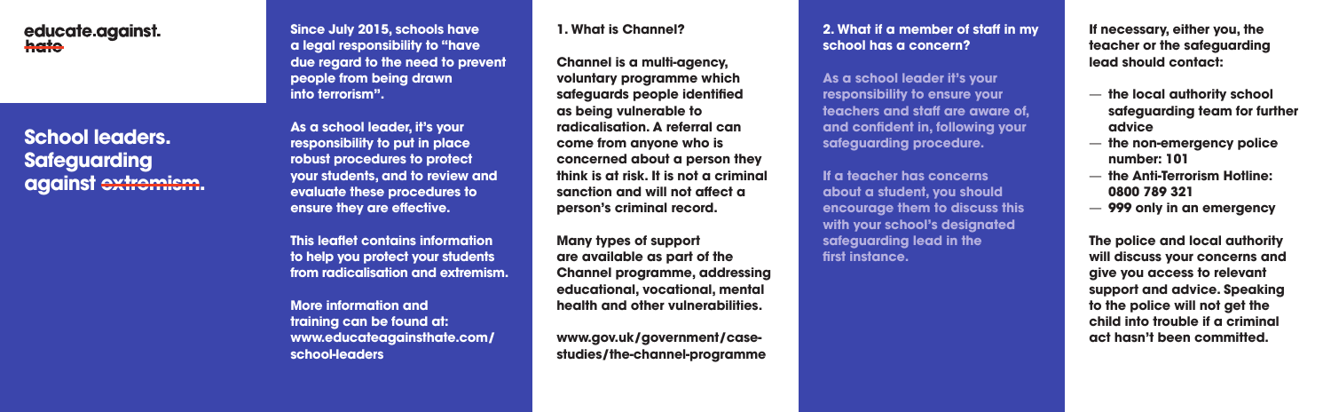# educate against. hate

# **School leaders. Safeguarding against extremism.**

**Since July 2015, schools have a legal responsibility to "have due regard to the need to prevent people from being drawn into terrorism".**

**As a school leader, it's your responsibility to put in place robust procedures to protect your students, and to review and evaluate these procedures to ensure they are effective.** 

**This leaflet contains information to help you protect your students from radicalisation and extremism.**

**More information and training can be found at: www.educateagainsthate.com/ school-leaders**

#### **1. What is Channel?**

**Channel is a multi-agency, voluntary programme which safeguards people identified as being vulnerable to radicalisation. A referral can come from anyone who is concerned about a person they think is at risk. It is not a criminal sanction and will not affect a person's criminal record.** 

**Many types of support are available as part of the Channel programme, addressing educational, vocational, mental health and other vulnerabilities.**

**www.gov.uk/government/casestudies/the-channel-programme**

## **2. What if a member of staff in my school has a concern?**

**As a school leader it's your responsibility to ensure your teachers and staff are aware of, and confident in, following your safeguarding procedure.**

**If a teacher has concerns about a student, you should encourage them to discuss this with your school's designated safeguarding lead in the first instance.**

**If necessary, either you, the teacher or the safeguarding lead should contact:**

- **the local authority school safeguarding team for further advice**
- **the non-emergency police number: 101**
- **the Anti-Terrorism Hotline: 0800 789 321**
- **999 only in an emergency**

**The police and local authority will discuss your concerns and give you access to relevant support and advice. Speaking to the police will not get the child into trouble if a criminal act hasn't been committed.**